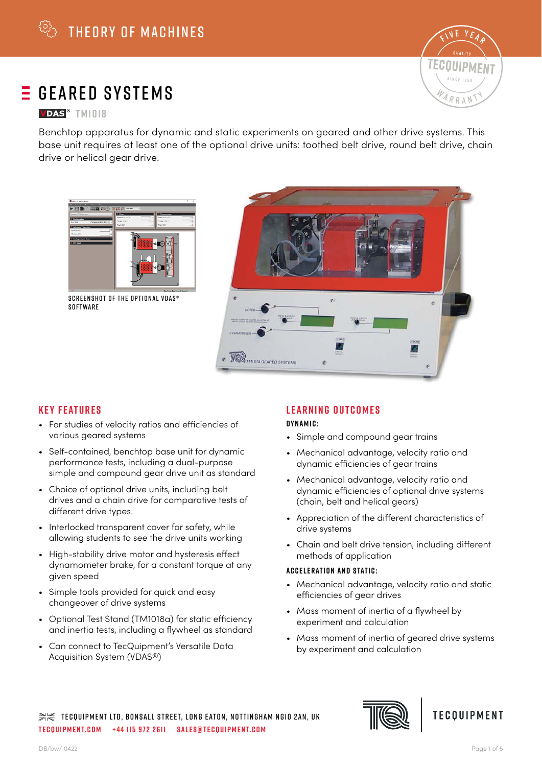

# **VDAS**<sup>®</sup> **TM1018**

Benchtop apparatus for dynamic and static experiments on geared and other drive systems. This base unit requires at least one of the optional drive units: toothed belt drive, round belt drive, chain drive or helical gear drive.



SCREENSHOT OF THE OPTIONAL VDAS® **SOFTWARE** 



# **Key features**

- For studies of velocity ratios and efficiencies of various geared systems
- Self-contained, benchtop base unit for dynamic performance tests, including a dual-purpose simple and compound gear drive unit as standard
- Choice of optional drive units, including belt drives and a chain drive for comparative tests of different drive types.
- Interlocked transparent cover for safety, while allowing students to see the drive units working
- High-stability drive motor and hysteresis effect dynamometer brake, for a constant torque at any given speed
- Simple tools provided for quick and easy changeover of drive systems
- Optional Test Stand (TM1018a) for static efficiency and inertia tests, including a flywheel as standard
- Can connect to TecQuipment's Versatile Data Acquisition System (VDAS®)

# **learning outcomes**

## **Dynamic:**

- Simple and compound gear trains
- Mechanical advantage, velocity ratio and dynamic efficiencies of gear trains
- Mechanical advantage, velocity ratio and dynamic efficiencies of optional drive systems (chain, belt and helical gears)
- Appreciation of the different characteristics of drive systems
- Chain and belt drive tension, including different methods of application

#### **Acceleration and Static:**

- Mechanical advantage, velocity ratio and static efficiencies of gear drives
- Mass moment of inertia of a flywheel by experiment and calculation
- Mass moment of inertia of geared drive systems by experiment and calculation

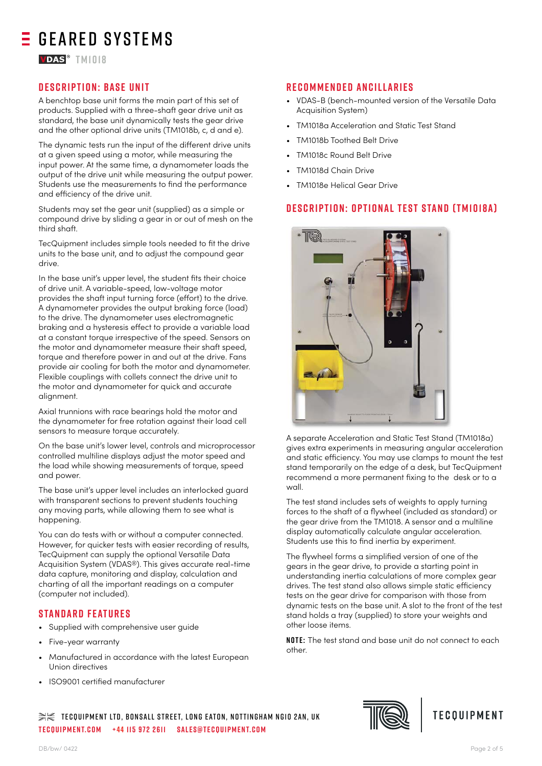**VDAS**<sup>®</sup> TMINIR

# **Description: Base Unit**

A benchtop base unit forms the main part of this set of products. Supplied with a three-shaft gear drive unit as standard, the base unit dynamically tests the gear drive and the other optional drive units (TM1018b, c, d and e).

The dynamic tests run the input of the different drive units at a given speed using a motor, while measuring the input power. At the same time, a dynamometer loads the output of the drive unit while measuring the output power. Students use the measurements to find the performance and efficiency of the drive unit.

Students may set the gear unit (supplied) as a simple or compound drive by sliding a gear in or out of mesh on the third shaft.

TecQuipment includes simple tools needed to fit the drive units to the base unit, and to adjust the compound gear drive.

In the base unit's upper level, the student fits their choice of drive unit. A variable-speed, low-voltage motor provides the shaft input turning force (effort) to the drive. A dynamometer provides the output braking force (load) to the drive. The dynamometer uses electromagnetic braking and a hysteresis effect to provide a variable load at a constant torque irrespective of the speed. Sensors on the motor and dynamometer measure their shaft speed, torque and therefore power in and out at the drive. Fans provide air cooling for both the motor and dynamometer. Flexible couplings with collets connect the drive unit to the motor and dynamometer for quick and accurate alignment.

Axial trunnions with race bearings hold the motor and the dynamometer for free rotation against their load cell sensors to measure torque accurately.

On the base unit's lower level, controls and microprocessor controlled multiline displays adjust the motor speed and the load while showing measurements of torque, speed and power.

The base unit's upper level includes an interlocked guard with transparent sections to prevent students touching any moving parts, while allowing them to see what is happening.

You can do tests with or without a computer connected. However, for quicker tests with easier recording of results, TecQuipment can supply the optional Versatile Data Acquisition System (VDAS®). This gives accurate real-time data capture, monitoring and display, calculation and charting of all the important readings on a computer (computer not included).

## **Standard Features**

- Supplied with comprehensive user guide
- Five-year warranty
- Manufactured in accordance with the latest European Union directives
- ISO9001 certified manufacturer

### **Recommended Ancillaries**

- VDAS-B (bench-mounted version of the Versatile Data Acquisition System)
- TM1018a Acceleration and Static Test Stand
- TM1018b Toothed Belt Drive
- TM1018c Round Belt Drive
- TM1018d Chain Drive
- TM1018e Helical Gear Drive

# **Description: Optional Test Stand (TM1018a)**



A separate Acceleration and Static Test Stand (TM1018a) gives extra experiments in measuring angular acceleration and static efficiency. You may use clamps to mount the test stand temporarily on the edge of a desk, but TecQuipment recommend a more permanent fixing to the desk or to a wall.

The test stand includes sets of weights to apply turning forces to the shaft of a flywheel (included as standard) or the gear drive from the TM1018. A sensor and a multiline display automatically calculate angular acceleration. Students use this to find inertia by experiment.

The flywheel forms a simplified version of one of the gears in the gear drive, to provide a starting point in understanding inertia calculations of more complex gear drives. The test stand also allows simple static efficiency tests on the gear drive for comparison with those from dynamic tests on the base unit. A slot to the front of the test stand holds a tray (supplied) to store your weights and other loose items.

**NOTE:** The test stand and base unit do not connect to each other.

 $\gg\ll$  tecquipment Ltd, bonsall street, long eaton, nottingham NG10 2AN, UK **tecquipment.com +44 115 972 2611 sales@tecquipment.com**

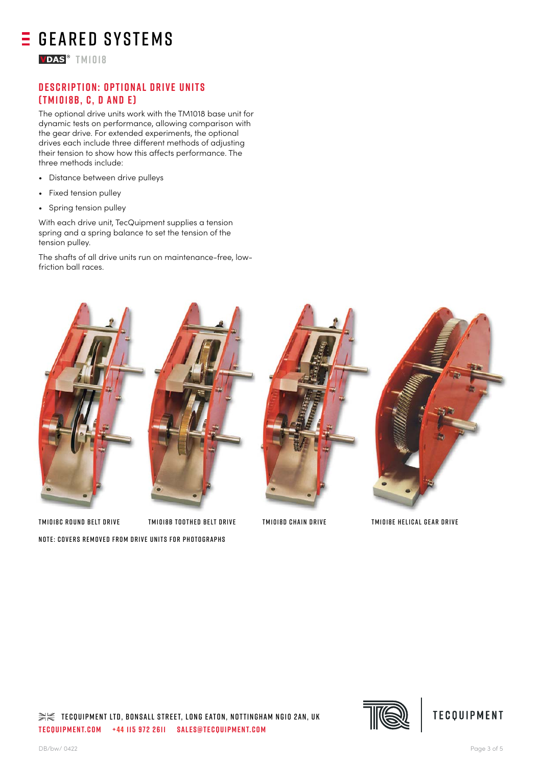**VDAS**<sup>®</sup> TM1018

# **DESCRIPTION: OPTIONAL DRIVE UNITS (TM1018b, c, d and e)**

The optional drive units work with the TM1018 base unit for dynamic tests on performance, allowing comparison with the gear drive. For extended experiments, the optional drives each include three different methods of adjusting their tension to show how this affects performance. The three methods include:

- Distance between drive pulleys
- Fixed tension pulley
- Spring tension pulley

With each drive unit, TecQuipment supplies a tension spring and a spring balance to set the tension of the tension pulley.

The shafts of all drive units run on maintenance-free, lowfriction ball races.





TM1018c Round Belt Drive Note: Covers removed from drive units for photographs TM1018b Toothed Belt Drive TM1018d Chain Drive TM1018e Helical Gear Drive



 $\gg\ll$  tecquipment LTD, Bonsall Street, LONG EATON, NOTTINGHAM NG10 2AN, UK **tecquipment.com +44 115 972 2611 sales@tecquipment.com**

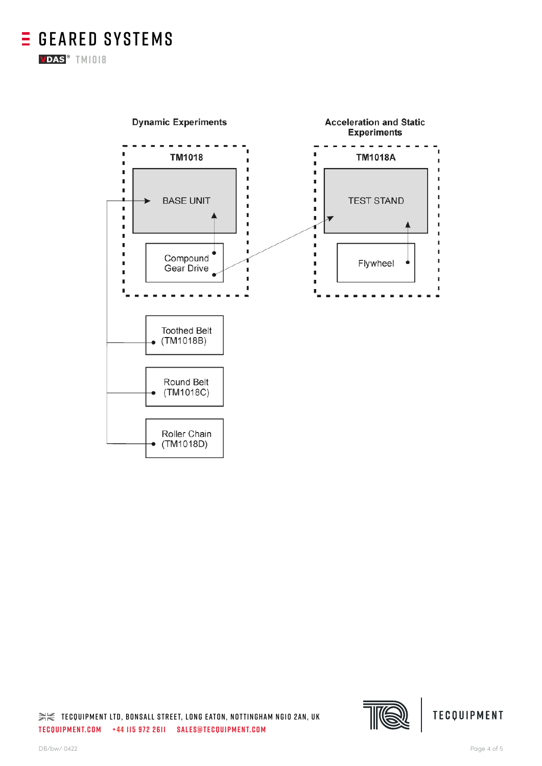**VDAS**<sup>®</sup> **TM1018**